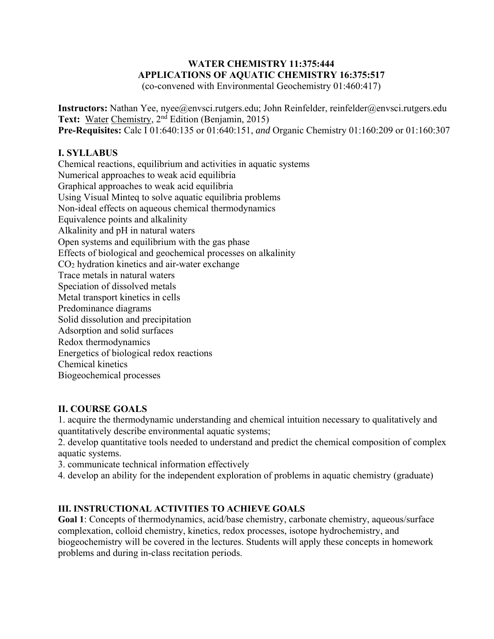## **WATER CHEMISTRY 11:375:444 APPLICATIONS OF AQUATIC CHEMISTRY 16:375:517**

(co-convened with Environmental Geochemistry 01:460:417)

**Instructors:** Nathan Yee, nyee@envsci.rutgers.edu; John Reinfelder, reinfelder@envsci.rutgers.edu Text: Water Chemistry, 2<sup>nd</sup> Edition (Benjamin, 2015) **Pre-Requisites:** Calc I 01:640:135 or 01:640:151, *and* Organic Chemistry 01:160:209 or 01:160:307

### **I. SYLLABUS**

Chemical reactions, equilibrium and activities in aquatic systems Numerical approaches to weak acid equilibria Graphical approaches to weak acid equilibria Using Visual Minteq to solve aquatic equilibria problems Non-ideal effects on aqueous chemical thermodynamics Equivalence points and alkalinity Alkalinity and pH in natural waters Open systems and equilibrium with the gas phase Effects of biological and geochemical processes on alkalinity CO2 hydration kinetics and air-water exchange Trace metals in natural waters Speciation of dissolved metals Metal transport kinetics in cells Predominance diagrams Solid dissolution and precipitation Adsorption and solid surfaces Redox thermodynamics Energetics of biological redox reactions Chemical kinetics Biogeochemical processes

# **II. COURSE GOALS**

1. acquire the thermodynamic understanding and chemical intuition necessary to qualitatively and quantitatively describe environmental aquatic systems;

2. develop quantitative tools needed to understand and predict the chemical composition of complex aquatic systems.

3. communicate technical information effectively

4. develop an ability for the independent exploration of problems in aquatic chemistry (graduate)

### **III. INSTRUCTIONAL ACTIVITIES TO ACHIEVE GOALS**

**Goal 1**: Concepts of thermodynamics, acid/base chemistry, carbonate chemistry, aqueous/surface complexation, colloid chemistry, kinetics, redox processes, isotope hydrochemistry, and biogeochemistry will be covered in the lectures. Students will apply these concepts in homework problems and during in-class recitation periods.